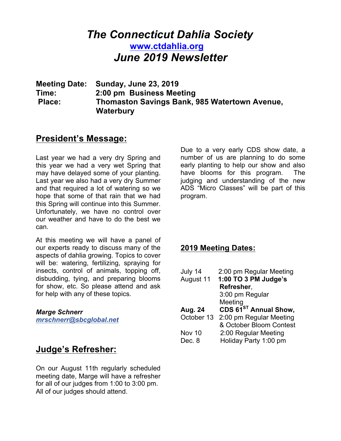# *The Connecticut Dahlia Society* **www.ctdahlia.org** *June 2019 Newsletter*

**Meeting Date: Sunday, June 23, 2019 Time: 2:00 pm Business Meeting Place: Thomaston Savings Bank, 985 Watertown Avenue, Waterbury** 

### **President's Message:**

Last year we had a very dry Spring and this year we had a very wet Spring that may have delayed some of your planting. Last year we also had a very dry Summer and that required a lot of watering so we hope that some of that rain that we had this Spring will continue into this Summer. Unfortunately, we have no control over our weather and have to do the best we can.

At this meeting we will have a panel of our experts ready to discuss many of the aspects of dahlia growing. Topics to cover will be: watering, fertilizing, spraying for insects, control of animals, topping off, disbudding, tying, and preparing blooms for show, etc. So please attend and ask for help with any of these topics.

#### *Marge Schnerr*

*mrschnerr@sbcglobal.net*

# **Judge's Refresher:**

On our August 11th regularly scheduled meeting date, Marge will have a refresher for all of our judges from 1:00 to 3:00 pm. All of our judges should attend.

Due to a very early CDS show date, a number of us are planning to do some early planting to help our show and also have blooms for this program. The judging and understanding of the new ADS "Micro Classes" will be part of this program.

### **2019 Meeting Dates:**

| July 14    | 2:00 pm Regular Meeting           |
|------------|-----------------------------------|
| August 11  | 1:00 TO 3 PM Judge's              |
|            | Refresher,                        |
|            | 3:00 pm Regular                   |
|            | Meeting                           |
| Aug. 24    | CDS 61 <sup>ST</sup> Annual Show, |
| October 13 | 2:00 pm Regular Meeting           |
|            | & October Bloom Contest           |
| Nov 10     | 2:00 Regular Meeting              |
| Dec. 8     | Holiday Party 1:00 pm             |